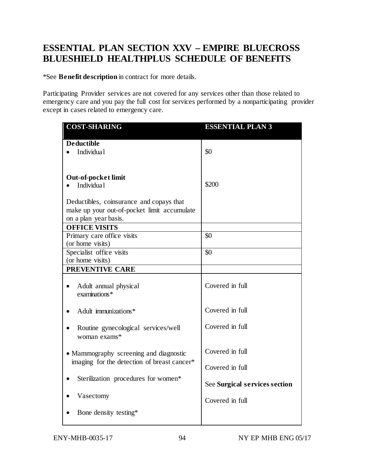## **BLUESHIELD HEALTHPLUS SCHEDULE OF BENEFITS ESSENTIAL PLAN SECTION XXV – EMPIRE BLUECROSS**

\*See **Benefit description** in contract for more details.

 Participating Provider services are not covered for any services other than those related to except in cases related to emergency care. emergency care and you pay the full cost for services performed by a nonparticipating provider

| <b>COST-SHARING</b>                                 | <b>ESSENTIAL PLAN 3</b>       |
|-----------------------------------------------------|-------------------------------|
| <b>Deductible</b>                                   |                               |
| Individua1                                          | \$0                           |
|                                                     |                               |
|                                                     |                               |
| <b>Out-of-pocket limit</b>                          |                               |
| Individua1                                          | \$200                         |
| Deductibles, coinsurance and copays that            |                               |
| make up your out-of-pocket limit accumulate         |                               |
| on a plan year basis.                               |                               |
| <b>OFFICE VISITS</b>                                |                               |
| Primary care office visits                          | \$0                           |
| (or home visits)                                    |                               |
| Specialist office visits                            | \$0                           |
| (or home visits)                                    |                               |
| <b>PREVENTIVE CARE</b>                              |                               |
| Adult annual physical<br>examinations*              | Covered in full               |
| Adult immunizations*                                | Covered in full               |
| Routine gynecological services/well<br>woman exams* | Covered in full               |
| • Mammography screening and diagnostic              | Covered in full               |
| imaging for the detection of breast cancer*         |                               |
|                                                     | Covered in full               |
| Sterilization procedures for women*                 | See Surgical services section |
| Vasectomy                                           | Covered in full               |
| Bone density testing*                               |                               |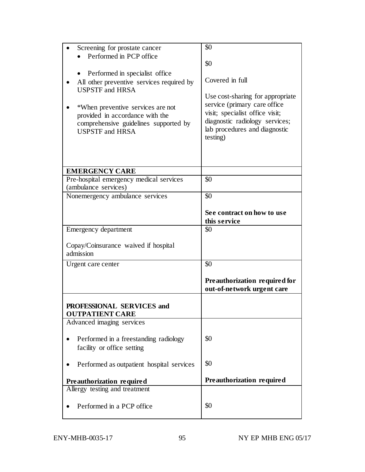|                                           | \$0                              |
|-------------------------------------------|----------------------------------|
| Screening for prostate cancer             |                                  |
| Performed in PCP office                   |                                  |
|                                           | \$0                              |
| Performed in specialist office            |                                  |
| All other preventive services required by | Covered in full                  |
|                                           |                                  |
| <b>USPSTF and HRSA</b>                    |                                  |
|                                           | Use cost-sharing for appropriate |
| *When preventive services are not         | service (primary care office)    |
| provided in accordance with the           | visit; specialist office visit;  |
| comprehensive guidelines supported by     | diagnostic radiology services;   |
| <b>USPSTF and HRSA</b>                    | lab procedures and diagnostic    |
|                                           | testing)                         |
|                                           |                                  |
|                                           |                                  |
|                                           |                                  |
|                                           |                                  |
| <b>EMERGENCY CARE</b>                     |                                  |
| Pre-hospital emergency medical services   | \$0                              |
| (ambulance services)                      |                                  |
| Nonemergency ambulance services           | \$0                              |
|                                           |                                  |
|                                           |                                  |
|                                           | See contract on how to use       |
|                                           | this service                     |
| Emergency department                      | \$0                              |
|                                           |                                  |
| Copay/Coinsurance waived if hospital      |                                  |
| admission                                 |                                  |
|                                           |                                  |
| Urgent care center                        | \$0                              |
|                                           |                                  |
|                                           | Preauthorization required for    |
|                                           | out-of-network urgent care       |
|                                           |                                  |
| PROFESSIONAL SERVICES and                 |                                  |
|                                           |                                  |
| <b>OUTPATIENT CARE</b>                    |                                  |
| Advanced imaging services                 |                                  |
|                                           |                                  |
| Performed in a freestanding radiology     | \$0                              |
| facility or office setting                |                                  |
|                                           |                                  |
| Performed as outpatient hospital services | \$0                              |
|                                           |                                  |
|                                           |                                  |
| Preauthorization required                 | Preauthorization required        |
| Allergy testing and treatment             |                                  |
|                                           |                                  |
| Performed in a PCP office                 | \$0                              |
|                                           |                                  |
|                                           |                                  |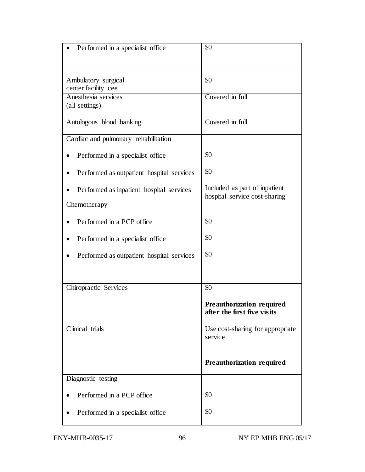| Performed in a specialist office           | \$0                                                            |
|--------------------------------------------|----------------------------------------------------------------|
| Ambulatory surgical<br>center facility cee | \$0                                                            |
| Anesthesia services<br>(all settings)      | Covered in full                                                |
| Autologous blood banking                   | Covered in full                                                |
| Cardiac and pulmonary rehabilitation       |                                                                |
| Performed in a specialist office           | \$0                                                            |
| Performed as outpatient hospital services  | \$0                                                            |
| Performed as inpatient hospital services   | Included as part of inpatient<br>hospital service cost-sharing |
| Chemotherapy                               |                                                                |
| Performed in a PCP office                  | \$0                                                            |
| Performed in a specialist office           | \$0                                                            |
| Performed as outpatient hospital services  | \$0                                                            |
|                                            |                                                                |
| Chiropractic Services                      | \$0                                                            |
|                                            | Preauthorization required<br>after the first five visits       |
| Clinical trials                            | Use cost-sharing for appropriate<br>service                    |
|                                            | Preauthorization required                                      |
| Diagnostic testing                         |                                                                |
| Performed in a PCP office                  | \$0                                                            |
| Performed in a specialist office           | \$0                                                            |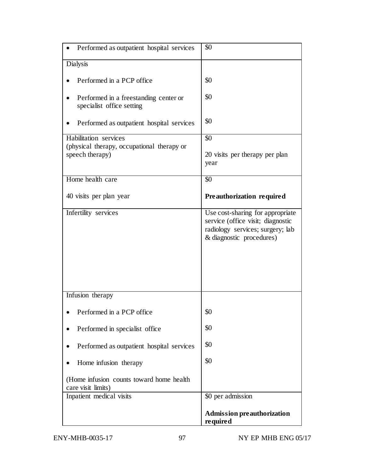| Performed as outpatient hospital services                           | \$0                                                                                                                                   |
|---------------------------------------------------------------------|---------------------------------------------------------------------------------------------------------------------------------------|
| <b>Dialysis</b>                                                     |                                                                                                                                       |
| Performed in a PCP office                                           | \$0                                                                                                                                   |
| Performed in a freestanding center or<br>specialist office setting  | \$0                                                                                                                                   |
| Performed as outpatient hospital services                           | \$0                                                                                                                                   |
| Habilitation services<br>(physical therapy, occupational therapy or | \$0                                                                                                                                   |
| speech therapy)                                                     | 20 visits per therapy per plan<br>year                                                                                                |
| Home health care                                                    | \$0                                                                                                                                   |
| 40 visits per plan year                                             | Preauthorization required                                                                                                             |
| Infertility services                                                | Use cost-sharing for appropriate<br>service (office visit; diagnostic<br>radiology services; surgery; lab<br>& diagnostic procedures) |
| Infusion therapy                                                    |                                                                                                                                       |
| Performed in a PCP office                                           | \$0                                                                                                                                   |
| Performed in specialist office                                      | \$0                                                                                                                                   |
| Performed as outpatient hospital services                           | \$0                                                                                                                                   |
| Home infusion therapy                                               | \$0                                                                                                                                   |
| (Home infusion counts toward home health)<br>care visit limits)     |                                                                                                                                       |
| Inpatient medical visits                                            | \$0 per admission                                                                                                                     |
|                                                                     | <b>Admission preauthorization</b><br>required                                                                                         |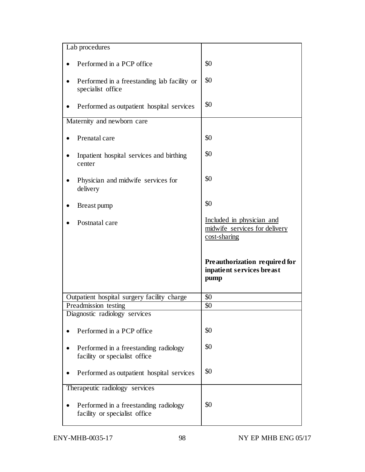| Lab procedures                                                         |                                                                            |
|------------------------------------------------------------------------|----------------------------------------------------------------------------|
| Performed in a PCP office                                              | \$0                                                                        |
| Performed in a freestanding lab facility or<br>specialist office       | \$0                                                                        |
| Performed as outpatient hospital services                              | \$0                                                                        |
| Maternity and newborn care                                             |                                                                            |
| Prenatal care                                                          | \$0                                                                        |
| Inpatient hospital services and birthing<br>center                     | \$0                                                                        |
| Physician and midwife services for<br>delivery                         | \$0                                                                        |
| Breast pump                                                            | \$0                                                                        |
| Postnatal care                                                         | Included in physician and<br>midwife services for delivery<br>cost-sharing |
|                                                                        |                                                                            |
|                                                                        | Preauthorization required for<br>inpatient services breast<br>pump         |
| Outpatient hospital surgery facility charge                            | \$0                                                                        |
| Preadmission testing                                                   | \$0                                                                        |
| Diagnostic radiology services                                          |                                                                            |
| Performed in a PCP office                                              | \$0                                                                        |
| Performed in a freestanding radiology<br>facility or specialist office | \$0                                                                        |
| Performed as outpatient hospital services                              | \$0                                                                        |
| Therapeutic radiology services                                         |                                                                            |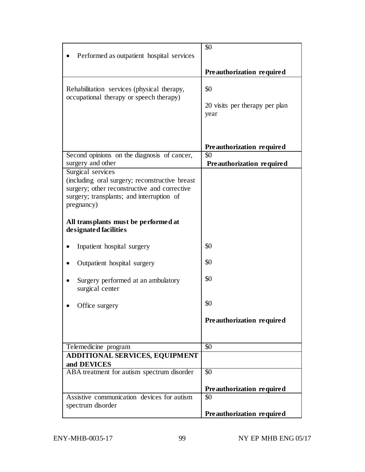| Performed as outpatient hospital services                                                                                                                 | \$0                                           |
|-----------------------------------------------------------------------------------------------------------------------------------------------------------|-----------------------------------------------|
|                                                                                                                                                           | Preauthorization required                     |
| Rehabilitation services (physical therapy,<br>occupational therapy or speech therapy)                                                                     | \$0<br>20 visits per therapy per plan<br>year |
|                                                                                                                                                           | Preauthorization required                     |
| Second opinions on the diagnosis of cancer,<br>surgery and other                                                                                          | \$0                                           |
| Surgical services                                                                                                                                         | Preauthorization required                     |
| (including oral surgery; reconstructive breast<br>surgery; other reconstructive and corrective<br>surgery; transplants; and interruption of<br>pregnancy) |                                               |
| All transplants must be performed at<br>designated facilities                                                                                             |                                               |
| Inpatient hospital surgery                                                                                                                                | \$0                                           |
| Outpatient hospital surgery                                                                                                                               | \$0                                           |
| Surgery performed at an ambulatory<br>surgical center                                                                                                     | \$0                                           |
| Office surgery                                                                                                                                            | \$0                                           |
|                                                                                                                                                           | Preauthorization required                     |
|                                                                                                                                                           |                                               |
| Telemedicine program                                                                                                                                      | \$0                                           |
| <b>ADDITIONAL SERVICES, EQUIPMENT</b><br>and DEVICES                                                                                                      |                                               |
| ABA treatment for autism spectrum disorder                                                                                                                | \$0                                           |
|                                                                                                                                                           | Preauthorization required                     |
| Assistive communication devices for autism                                                                                                                | \$0                                           |
| spectrum disorder                                                                                                                                         | Preauthorization required                     |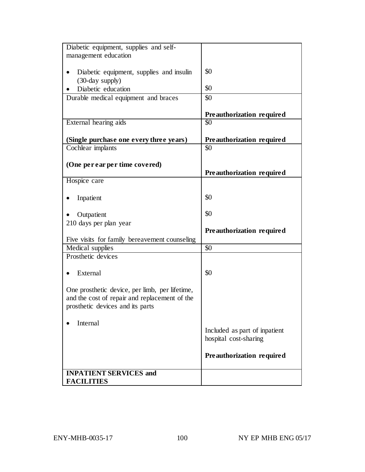| Diabetic equipment, supplies and self-         |                               |
|------------------------------------------------|-------------------------------|
| management education                           |                               |
|                                                |                               |
| Diabetic equipment, supplies and insulin       | \$0                           |
| (30-day supply)                                |                               |
| Diabetic education                             | \$0                           |
| Durable medical equipment and braces           | \$0                           |
|                                                |                               |
|                                                |                               |
|                                                | Preauthorization required     |
| External hearing aids                          | \$0                           |
|                                                |                               |
| (Single purchase one every three years)        | Preauthorization required     |
| Cochlear implants                              | \$0                           |
|                                                |                               |
| (One per ear per time covered)                 |                               |
|                                                | Preauthorization required     |
| Hospice care                                   |                               |
|                                                |                               |
| Inpatient                                      | \$0                           |
|                                                |                               |
| Outpatient                                     | \$0                           |
| 210 days per plan year                         |                               |
|                                                | Preauthorization required     |
| Five visits for family bereavement counseling  |                               |
| Medical supplies                               | \$0                           |
| Prosthetic devices                             |                               |
|                                                |                               |
| External                                       | \$0                           |
|                                                |                               |
|                                                |                               |
| One prosthetic device, per limb, per lifetime, |                               |
| and the cost of repair and replacement of the  |                               |
| prosthetic devices and its parts               |                               |
|                                                |                               |
| Internal                                       |                               |
|                                                | Included as part of inpatient |
|                                                | hospital cost-sharing         |
|                                                |                               |
|                                                | Preauthorization required     |
|                                                |                               |
| <b>INPATIENT SERVICES and</b>                  |                               |
| <b>FACILITIES</b>                              |                               |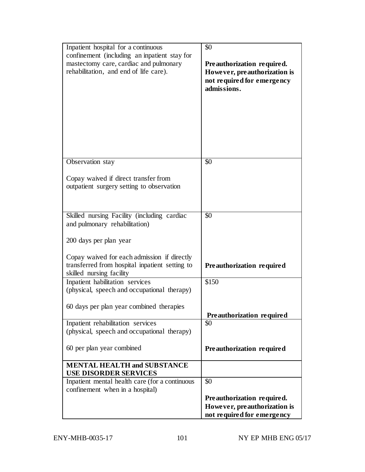| Inpatient hospital for a continuous<br>confinement (including an inpatient stay for<br>mastectomy care, cardiac and pulmonary<br>rehabilitation, and end of life care). | \$0<br>Preauthorization required.<br>However, preauthorization is<br>not required for emergency<br>admissions. |
|-------------------------------------------------------------------------------------------------------------------------------------------------------------------------|----------------------------------------------------------------------------------------------------------------|
| Observation stay                                                                                                                                                        | $\overline{50}$                                                                                                |
| Copay waived if direct transfer from<br>outpatient surgery setting to observation                                                                                       |                                                                                                                |
| Skilled nursing Facility (including cardiac<br>and pulmonary rehabilitation)                                                                                            | $\overline{50}$                                                                                                |
| 200 days per plan year                                                                                                                                                  |                                                                                                                |
| Copay waived for each admission if directly<br>transferred from hospital inpatient setting to<br>skilled nursing facility                                               | Preauthorization required                                                                                      |
| Inpatient habilitation services                                                                                                                                         | \$150                                                                                                          |
| (physical, speech and occupational therapy)                                                                                                                             |                                                                                                                |
| 60 days per plan year combined therapies                                                                                                                                |                                                                                                                |
|                                                                                                                                                                         | Preauthorization required                                                                                      |
| Inpatient rehabilitation services<br>(physical, speech and occupational therapy)                                                                                        | \$0                                                                                                            |
|                                                                                                                                                                         |                                                                                                                |
| 60 per plan year combined                                                                                                                                               | Preauthorization required                                                                                      |
| <b>MENTAL HEALTH and SUBSTANCE</b><br><b>USE DISORDER SERVICES</b>                                                                                                      |                                                                                                                |
| Inpatient mental health care (for a continuous                                                                                                                          | \$0                                                                                                            |
| confinement when in a hospital)                                                                                                                                         |                                                                                                                |
|                                                                                                                                                                         | Preauthorization required.                                                                                     |
|                                                                                                                                                                         | However, preauthorization is<br>not required for emergency                                                     |
|                                                                                                                                                                         |                                                                                                                |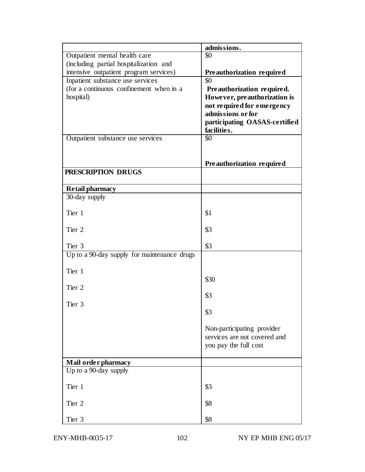|                                             | admissions.                   |
|---------------------------------------------|-------------------------------|
| Outpatient mental health care               | \$0                           |
| (including partial hospitalization and      |                               |
| intensive outpatient program services)      | Preauthorization required     |
| Inpatient substance use services            | \$0                           |
| (for a continuous confinement when in a     | Preauthorization required.    |
| hospital)                                   | However, preauthorization is  |
|                                             | not required for emergency    |
|                                             | admissions or for             |
|                                             | participating OASAS-certified |
|                                             | facilities.                   |
| Outpatient substance use services           | \$0                           |
|                                             |                               |
|                                             | Preauthorization required     |
| PRESCRIPTION DRUGS                          |                               |
| Retail pharmacy                             |                               |
| 30-day supply                               |                               |
| Tier 1                                      | \$1                           |
| Tier 2                                      | \$3                           |
|                                             |                               |
| Tier 3                                      | \$3                           |
| Up to a 90-day supply for maintenance drugs |                               |
| Tier 1                                      |                               |
| Tier 2                                      | \$30                          |
|                                             | \$3                           |
| Tier 3                                      |                               |
|                                             | \$3                           |
|                                             | Non-participating provider    |
|                                             | services are not covered and  |
|                                             | you pay the full cost         |
|                                             |                               |
| Mail order pharmacy                         |                               |
| Up to a 90-day supply                       |                               |
| Tier 1                                      | \$3                           |
| Tier 2                                      | \$8                           |
|                                             |                               |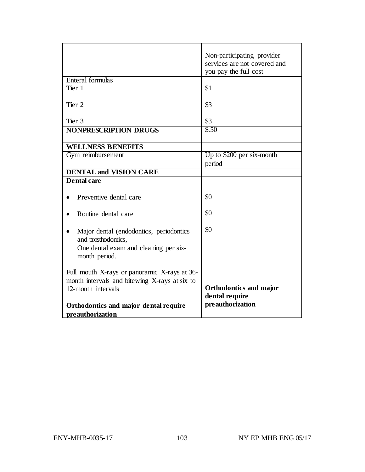|                                                                     | Non-participating provider<br>services are not covered and |
|---------------------------------------------------------------------|------------------------------------------------------------|
|                                                                     | you pay the full cost                                      |
| Enteral formulas                                                    |                                                            |
| Tier 1                                                              | \$1                                                        |
|                                                                     |                                                            |
| Tier 2                                                              | \$3                                                        |
|                                                                     |                                                            |
| Tier <sub>3</sub>                                                   | \$3                                                        |
| <b>NONPRESCRIPTION DRUGS</b>                                        | \$.50                                                      |
|                                                                     |                                                            |
| <b>WELLNESS BENEFITS</b><br>Gym reimbursement                       | Up to \$200 per six-month                                  |
|                                                                     | period                                                     |
| <b>DENTAL and VISION CARE</b>                                       |                                                            |
| <b>Dental care</b>                                                  |                                                            |
|                                                                     |                                                            |
| Preventive dental care                                              | \$0                                                        |
|                                                                     |                                                            |
| Routine dental care                                                 | \$0                                                        |
|                                                                     |                                                            |
| Major dental (endodontics, periodontics                             | \$0                                                        |
| and prosthodontics,                                                 |                                                            |
| One dental exam and cleaning per six-                               |                                                            |
| month period.                                                       |                                                            |
|                                                                     |                                                            |
| Full mouth X-rays or panoramic X-rays at 36-                        |                                                            |
| month intervals and bitewing X-rays at six to<br>12-month intervals | <b>Orthodontics and major</b>                              |
|                                                                     | dental require                                             |
| Orthodontics and major dental require                               | preauthorization                                           |
| preauthorization                                                    |                                                            |
|                                                                     |                                                            |